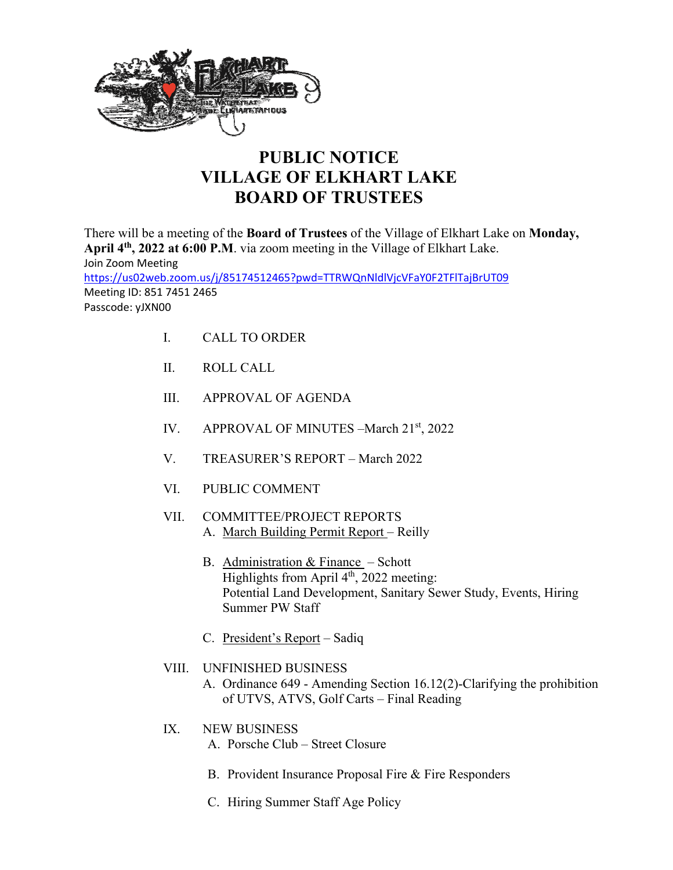

## **PUBLIC NOTICE VILLAGE OF ELKHART LAKE BOARD OF TRUSTEES**

There will be a meeting of the **Board of Trustees** of the Village of Elkhart Lake on **Monday, April 4th, 2022 at 6:00 P.M**. via zoom meeting in the Village of Elkhart Lake. Join Zoom Meeting https://us02web.zoom.us/j/85174512465?pwd=TTRWQnNldlVjcVFaY0F2TFlTajBrUT09 Meeting ID: 851 7451 2465 Passcode: yJXN00

- I. CALL TO ORDER
- II. ROLL CALL
- III. APPROVAL OF AGENDA
- IV. APPROVAL OF MINUTES March 21<sup>st</sup>, 2022
- V. TREASURER'S REPORT March 2022
- VI. PUBLIC COMMENT
- VII. COMMITTEE/PROJECT REPORTS A. March Building Permit Report – Reilly
	- B. Administration  $&$  Finance Schott Highlights from April 4<sup>th</sup>, 2022 meeting: Potential Land Development, Sanitary Sewer Study, Events, Hiring Summer PW Staff
	- C. President's Report Sadiq
- VIII. UNFINISHED BUSINESS
	- A. Ordinance 649 Amending Section 16.12(2)-Clarifying the prohibition of UTVS, ATVS, Golf Carts – Final Reading
- IX. NEW BUSINESS
	- A. Porsche Club Street Closure
	- B. Provident Insurance Proposal Fire & Fire Responders
	- C. Hiring Summer Staff Age Policy